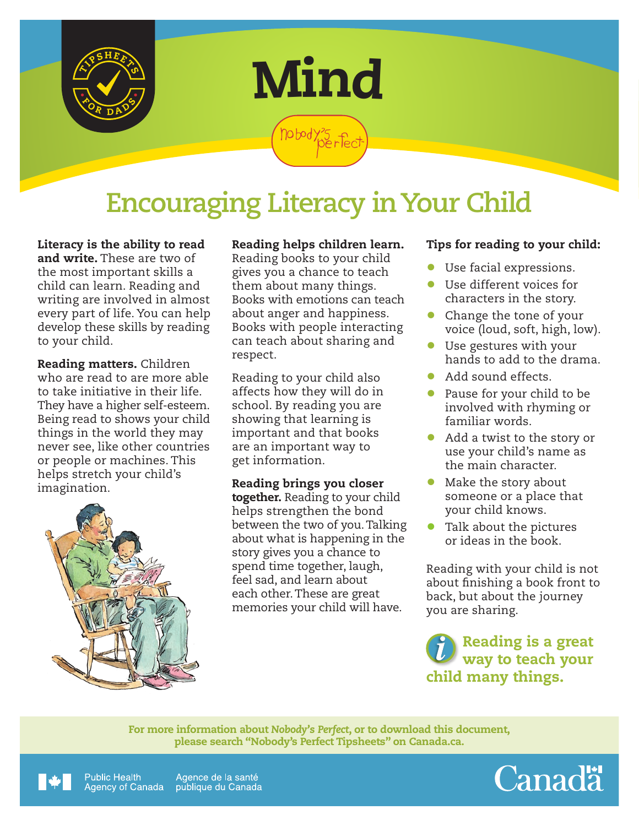



nobody?5<br>Perfec

# **Encouraging Literacy in Your Child**

Literacy is the ability to read and write. These are two of the most important skills a child can learn. Reading and writing are involved in almost every part of life. You can help develop these skills by reading to your child.

Reading matters. Children who are read to are more able to take initiative in their life. They have a higher self-esteem. Being read to shows your child things in the world they may never see, like other countries or people or machines. This helps stretch your child's imagination.



### Reading helps children learn.

Reading books to your child gives you a chance to teach them about many things. Books with emotions can teach about anger and happiness. Books with people interacting can teach about sharing and respect.

Reading to your child also affects how they will do in school. By reading you are showing that learning is important and that books are an important way to get information.

Reading brings you closer together. Reading to your child helps strengthen the bond between the two of you. Talking about what is happening in the story gives you a chance to spend time together, laugh, feel sad, and learn about each other. These are great memories your child will have.

#### Tips for reading to your child:

- Use facial expressions.
- Use different voices for characters in the story.
- Change the tone of your voice (loud, soft, high, low).
- Use gestures with your hands to add to the drama.
- Add sound effects.
- Pause for your child to be involved with rhyming or familiar words.
- Add a twist to the story or use your child's name as the main character.
- Make the story about someone or a place that your child knows.
- Talk about the pictures or ideas in the book.

Reading with your child is not about finishing a book front to back, but about the journey you are sharing.

Reading is a great way to teach your child many things.

For more information about *Nobody's Perfect*, or to download this document, please search "Nobody's Perfect Tipsheets" on Canada.ca.



Public Health Agence de la santé Agency of Canada publique du Canada